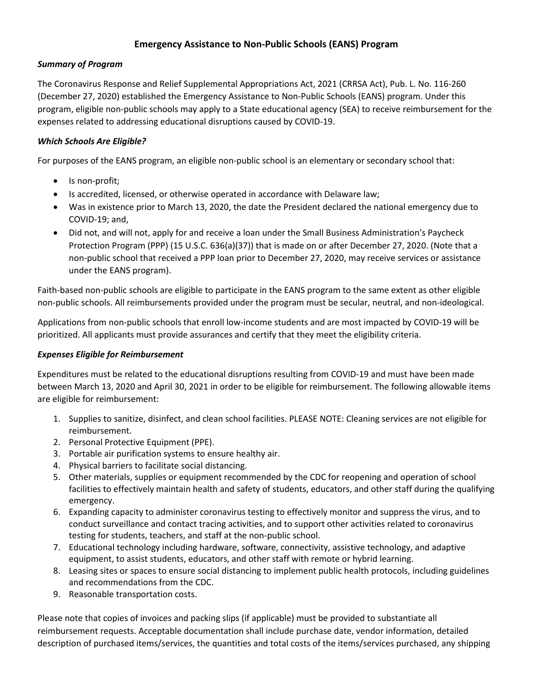## **Emergency Assistance to Non-Public Schools (EANS) Program**

## *Summary of Program*

The Coronavirus Response and Relief Supplemental Appropriations Act, 2021 (CRRSA Act), Pub. L. No. 116-260 (December 27, 2020) established the Emergency Assistance to Non-Public Schools (EANS) program. Under this program, eligible non-public schools may apply to a State educational agency (SEA) to receive reimbursement for the expenses related to addressing educational disruptions caused by COVID-19.

# *Which Schools Are Eligible?*

For purposes of the EANS program, an eligible non-public school is an elementary or secondary school that:

- Is non-profit;
- Is accredited, licensed, or otherwise operated in accordance with Delaware law;
- Was in existence prior to March 13, 2020, the date the President declared the national emergency due to COVID-19; and,
- Did not, and will not, apply for and receive a loan under the Small Business Administration's Paycheck Protection Program (PPP) (15 U.S.C. 636(a)(37)) that is made on or after December 27, 2020. (Note that a non-public school that received a PPP loan prior to December 27, 2020, may receive services or assistance under the EANS program).

Faith-based non-public schools are eligible to participate in the EANS program to the same extent as other eligible non-public schools. All reimbursements provided under the program must be secular, neutral, and non-ideological.

Applications from non-public schools that enroll low-income students and are most impacted by COVID-19 will be prioritized. All applicants must provide assurances and certify that they meet the eligibility criteria.

### *Expenses Eligible for Reimbursement*

Expenditures must be related to the educational disruptions resulting from COVID-19 and must have been made between March 13, 2020 and April 30, 2021 in order to be eligible for reimbursement. The following allowable items are eligible for reimbursement:

- 1. Supplies to sanitize, disinfect, and clean school facilities. PLEASE NOTE: Cleaning services are not eligible for reimbursement.
- 2. Personal Protective Equipment (PPE).
- 3. Portable air purification systems to ensure healthy air.
- 4. Physical barriers to facilitate social distancing.
- 5. Other materials, supplies or equipment recommended by the CDC for reopening and operation of school facilities to effectively maintain health and safety of students, educators, and other staff during the qualifying emergency.
- 6. Expanding capacity to administer coronavirus testing to effectively monitor and suppress the virus, and to conduct surveillance and contact tracing activities, and to support other activities related to coronavirus testing for students, teachers, and staff at the non-public school.
- 7. Educational technology including hardware, software, connectivity, assistive technology, and adaptive equipment, to assist students, educators, and other staff with remote or hybrid learning.
- 8. Leasing sites or spaces to ensure social distancing to implement public health protocols, including guidelines and recommendations from the CDC.
- 9. Reasonable transportation costs.

Please note that copies of invoices and packing slips (if applicable) must be provided to substantiate all reimbursement requests. Acceptable documentation shall include purchase date, vendor information, detailed description of purchased items/services, the quantities and total costs of the items/services purchased, any shipping